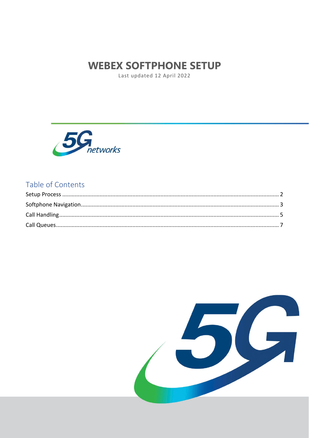# **WEBEX SOFTPHONE SETUP**

Last updated 12 April 2022



# Table of Contents

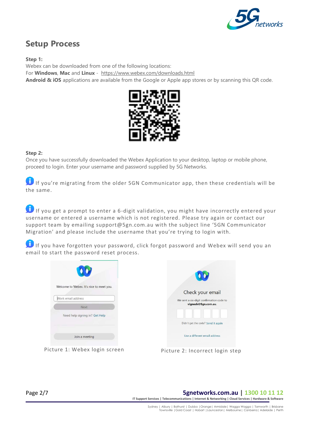

# <span id="page-1-0"></span>**Setup Process**

**Step 1:**

Webex can be downloaded from one of the following locations: For **Windows**, **Mac** and **Linux** - <https://www.webex.com/downloads.html> **Android & iOS** applications are available from the Google or Apple app stores or by scanning this QR code.



### **Step 2:**

Once you have successfully downloaded the Webex Application to your desktop, laptop or mobile phone, proceed to login. Enter your username and password supplied by 5G Networks.

If you're migrating from the older 5GN Communicator app, then these credentials will be the same.

If you get a prompt to enter a 6-digit validation, you might have incorrectly entered your username or entered a username which is not registered. Please try again or contact our support team by emailing support@5gn.com.au with the subject line '5GN Communicator Migration' and please include the username that you're trying to login with.

If you have forgotten your password, click forgot password and Webex will send you an email to start the password reset process.

|                                                                        | $\bullet$                                                                           |
|------------------------------------------------------------------------|-------------------------------------------------------------------------------------|
| Welcome to Webex. It's nice to meet you.<br>Work email address<br>Next | Check your email<br>We sent a six-digit confirmation code to<br>vignesh@5gn.com.au. |
| Need help signing in? Get Help                                         | Didn't get the code? Send it again                                                  |
| Join a meeting                                                         | Use a different email address                                                       |

Picture 1: Webex login screen Picture 2: Incorrect login step



## Page 2/7 **5gnetworks.com.au | 1300 10 11 12**

**IT Support Services | Telecommunications | Internet & Networking | Cloud Services | Hardware & Software**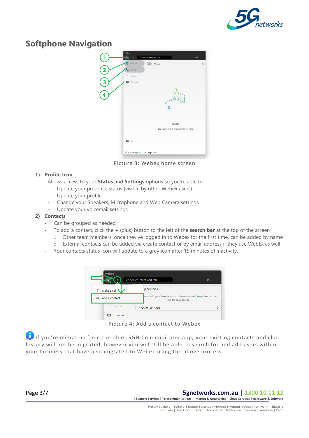

# <span id="page-2-0"></span>**Softphone Navigation**



Picture 3: Webex home screen

## **1) Profile Icon**

Allows access to your **Status** and **Settings** options so you're able to:

- Update your presence status (visible by other Webex users)
- Update your profile
- Change your Speakers, Microphone and Web Camera settings
- Update your voicemail settings

### **2) Contacts**

- Can be grouped as needed
- To add a contact, click the **+** (plus) button to the left of the **search bar** at the top of the screen
	- $\circ$  Other team members, once they've logged in to Webex for the first time, can be added by name
	- o External contacts can be added via create contact or by email address if they use WebEx as well
- Your contacts status icon will update to a grey icon after 15 minutes of inactivity.



Picture 4: Add a contact to Webex

If you're migrating from the older 5GN Communicator app, your existing contacts and chat history will not be migrated, however you will still be able to search for and add users within your business that have also migrated to Webex using the above process.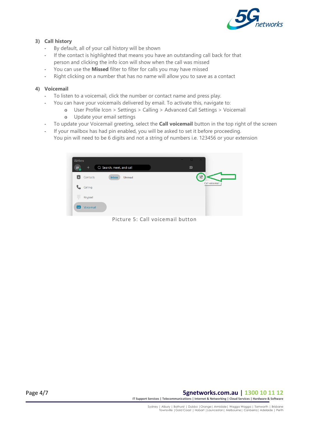

## **3) Call history**

- By default, all of your call history will be shown
- If the contact is highlighted that means you have an outstanding call back for that person and clicking the info icon will show when the call was missed
- You can use the **Missed** filter to filter for calls you may have missed
- Right clicking on a number that has no name will allow you to save as a contact

### **4) Voicemail**

- To listen to a voicemail, click the number or contact name and press play.
- You can have your voicemails delivered by email. To activate this, navigate to:
	- o User Profile Icon > Settings > Calling > Advanced Call Settings > Voicemail
	- o Update your email settings
- To update your Voicemail greeting, select the **Call voicemail** button in the top right of the screen
- If your mailbox has had pin enabled, you will be asked to set it before proceeding. You pin will need to be 6 digits and not a string of numbers i.e. 123456 or your extension

| Webex |           |                          | $\Box$<br>$\frac{1}{2}$ | $\times$                                   |
|-------|-----------|--------------------------|-------------------------|--------------------------------------------|
| JA.   | $\ddot{}$ | Q Search, meet, and call | $\circledcirc$          |                                            |
|       | Contacts  | Unread<br><b>Inbox</b>   |                         | $\mathscr{C}^{\bullet}$<br>Call voice mail |
|       | Calling   |                          |                         |                                            |
| ₩     | Keypad    |                          |                         |                                            |
| مه    | Voicemail |                          |                         |                                            |

Picture 5: Call voicemail button

Page 4/7 **5gnetworks.com.au | 1300 10 11 12 IT Support Services | Telecommunications | Internet & Networking | Cloud Services | Hardware & Software**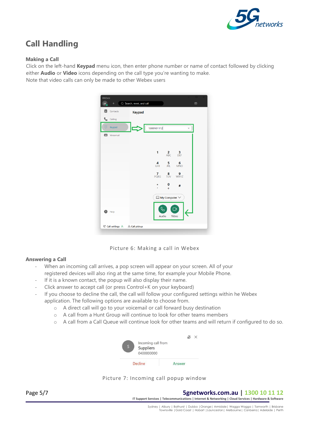

# <span id="page-4-0"></span>**Call Handling**

### **Making a Call**

Click on the left-hand **Keypad** menu icon, then enter phone number or name of contact followed by clicking either **Audio** or **Video** icons depending on the call type you're wanting to make. Note that video calls can only be made to other Webex users



Picture 6: Making a call in Webex

#### **Answering a Call**

- When an incoming call arrives, a pop screen will appear on your screen. All of your registered devices will also ring at the same time, for example your Mobile Phone.
- If it is a known contact, the popup will also display their name.
- Click answer to accept call (or press Control+K on your keyboard)
- If you choose to decline the call, the call will follow your configured settings within he Webex application. The following options are available to choose from.
	- o A direct call will go to your voicemail or call forward busy destination
	- o A call from a Hunt Group will continue to look for other teams members
	- o A call from a Call Queue will continue look for other teams and will return if configured to do so.

| Incoming call from<br>Suppliers<br>0400000000 |        |  |
|-----------------------------------------------|--------|--|
| <b>Decline</b>                                | Answer |  |

Picture 7: Incoming call popup window

Page 5/7 **5gnetworks.com.au | 1300 10 11 12 IT Support Services | Telecommunications | Internet & Networking | Cloud Services | Hardware & Software**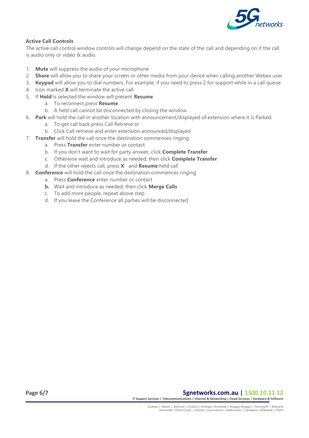

## **Active Call Controls**

The active call control window controls will change depend on the state of the call and depending on if the call is audio only or video & audio.

- 1. **Mute** will suppress the audio of your microphone
- 2. **Share** will allow you to share your screen or other media from your device when calling another Webex user
- 3. **Keypad** will allow you to dial numbers. For example, if you need to press 2 for support while in a call queue
- 4. Icon marked **X** will terminate the active call
- 5. If **Hold** is selected the window will present **Resume**
	- a. To reconnect press **Resume**
	- b. A held call cannot be disconnected by closing the window
- 6. **Park** will hold the call in another location with announcement/displayed of extension where it is Parked.
	- a. To get call back press Call Retrieve or
	- b. Click Call retrieve and enter extension announced/displayed
- 7. **Transfer** will hold the call once the destination commences ringing
	- a. Press **Transfer** enter number or contact
	- b. If you don't want to wait for party answer, click **Complete Transfer**
	- c. Otherwise wait and introduce as needed, then click **Complete Transfer**
	- d. If the other rejects call, press **X** and **Resume** held call
- 8. **Conference** will hold the call once the destination commences ringing
	- a. Press **Conference** enter number or contact
	- **b.** Wait and introduce as needed, then click **Merge Calls**
	- c. To add more people, repeat above step
	- d. If you leave the Conference all parties will be disconnected